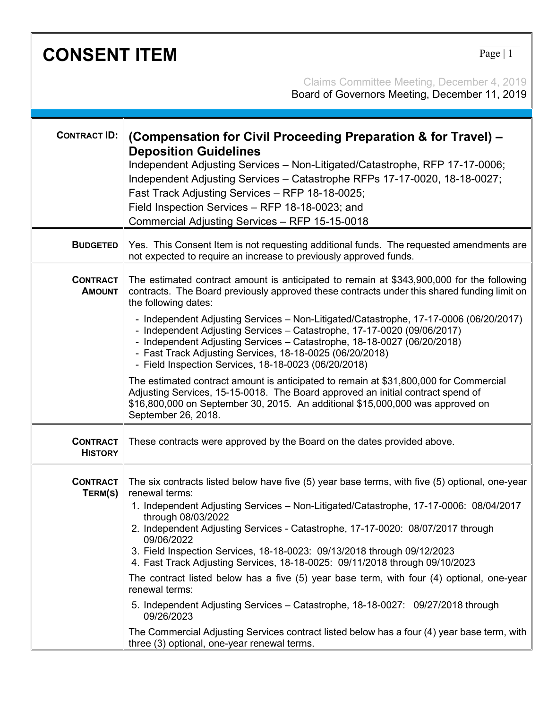| <b>CONSENT ITEM</b><br>Page $ 1$  |                                                                                                                                                                                                                                                                                                                                                                                                                                                                                                                                                                                                                                                                                                                                                                                                                                                                          |
|-----------------------------------|--------------------------------------------------------------------------------------------------------------------------------------------------------------------------------------------------------------------------------------------------------------------------------------------------------------------------------------------------------------------------------------------------------------------------------------------------------------------------------------------------------------------------------------------------------------------------------------------------------------------------------------------------------------------------------------------------------------------------------------------------------------------------------------------------------------------------------------------------------------------------|
|                                   | Claims Committee Meeting, December 4, 2019<br>Board of Governors Meeting, December 11, 2019                                                                                                                                                                                                                                                                                                                                                                                                                                                                                                                                                                                                                                                                                                                                                                              |
| <b>CONTRACT ID:</b>               | (Compensation for Civil Proceeding Preparation & for Travel) -<br><b>Deposition Guidelines</b><br>Independent Adjusting Services - Non-Litigated/Catastrophe, RFP 17-17-0006;<br>Independent Adjusting Services - Catastrophe RFPs 17-17-0020, 18-18-0027;<br>Fast Track Adjusting Services - RFP 18-18-0025;<br>Field Inspection Services - RFP 18-18-0023; and<br>Commercial Adjusting Services - RFP 15-15-0018                                                                                                                                                                                                                                                                                                                                                                                                                                                       |
| <b>BUDGETED</b>                   | Yes. This Consent Item is not requesting additional funds. The requested amendments are<br>not expected to require an increase to previously approved funds.                                                                                                                                                                                                                                                                                                                                                                                                                                                                                                                                                                                                                                                                                                             |
| <b>CONTRACT</b><br><b>AMOUNT</b>  | The estimated contract amount is anticipated to remain at \$343,900,000 for the following<br>contracts. The Board previously approved these contracts under this shared funding limit on<br>the following dates:<br>- Independent Adjusting Services - Non-Litigated/Catastrophe, 17-17-0006 (06/20/2017)<br>- Independent Adjusting Services - Catastrophe, 17-17-0020 (09/06/2017)<br>- Independent Adjusting Services - Catastrophe, 18-18-0027 (06/20/2018)<br>- Fast Track Adjusting Services, 18-18-0025 (06/20/2018)<br>- Field Inspection Services, 18-18-0023 (06/20/2018)<br>The estimated contract amount is anticipated to remain at \$31,800,000 for Commercial<br>Adjusting Services, 15-15-0018. The Board approved an initial contract spend of<br>\$16,800,000 on September 30, 2015. An additional \$15,000,000 was approved on<br>September 26, 2018. |
| <b>CONTRACT</b><br><b>HISTORY</b> | These contracts were approved by the Board on the dates provided above.                                                                                                                                                                                                                                                                                                                                                                                                                                                                                                                                                                                                                                                                                                                                                                                                  |
| <b>CONTRACT</b><br>TERM(S)        | The six contracts listed below have five (5) year base terms, with five (5) optional, one-year<br>renewal terms:<br>1. Independent Adjusting Services - Non-Litigated/Catastrophe, 17-17-0006: 08/04/2017<br>through 08/03/2022<br>2. Independent Adjusting Services - Catastrophe, 17-17-0020: 08/07/2017 through<br>09/06/2022<br>3. Field Inspection Services, 18-18-0023: 09/13/2018 through 09/12/2023<br>4. Fast Track Adjusting Services, 18-18-0025: 09/11/2018 through 09/10/2023<br>The contract listed below has a five (5) year base term, with four (4) optional, one-year<br>renewal terms:<br>5. Independent Adjusting Services - Catastrophe, 18-18-0027: 09/27/2018 through<br>09/26/2023<br>The Commercial Adjusting Services contract listed below has a four (4) year base term, with<br>three (3) optional, one-year renewal terms.                 |

Г